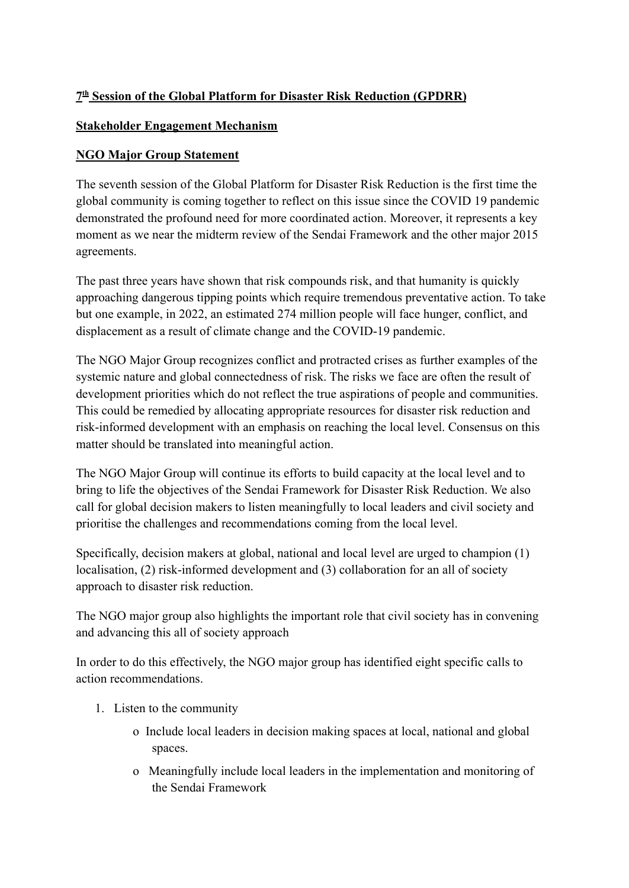## **7 th Session of the Global Platform for Disaster Risk Reduction (GPDRR)**

## **Stakeholder Engagement Mechanism**

## **NGO Major Group Statement**

The seventh session of the Global Platform for Disaster Risk Reduction is the first time the global community is coming together to reflect on this issue since the COVID 19 pandemic demonstrated the profound need for more coordinated action. Moreover, it represents a key moment as we near the midterm review of the Sendai Framework and the other major 2015 agreements.

The past three years have shown that risk compounds risk, and that humanity is quickly approaching dangerous tipping points which require tremendous preventative action. To take but one example, in 2022, an estimated 274 million people will face hunger, conflict, and displacement as a result of climate change and the COVID-19 pandemic.

The NGO Major Group recognizes conflict and protracted crises as further examples of the systemic nature and global connectedness of risk. The risks we face are often the result of development priorities which do not reflect the true aspirations of people and communities. This could be remedied by allocating appropriate resources for disaster risk reduction and risk-informed development with an emphasis on reaching the local level. Consensus on this matter should be translated into meaningful action.

The NGO Major Group will continue its efforts to build capacity at the local level and to bring to life the objectives of the Sendai Framework for Disaster Risk Reduction. We also call for global decision makers to listen meaningfully to local leaders and civil society and prioritise the challenges and recommendations coming from the local level.

Specifically, decision makers at global, national and local level are urged to champion (1) localisation, (2) risk-informed development and (3) collaboration for an all of society approach to disaster risk reduction.

The NGO major group also highlights the important role that civil society has in convening and advancing this all of society approach

In order to do this effectively, the NGO major group has identified eight specific calls to action recommendations.

- 1. Listen to the community
	- o Include local leaders in decision making spaces at local, national and global spaces.
	- o Meaningfully include local leaders in the implementation and monitoring of the Sendai Framework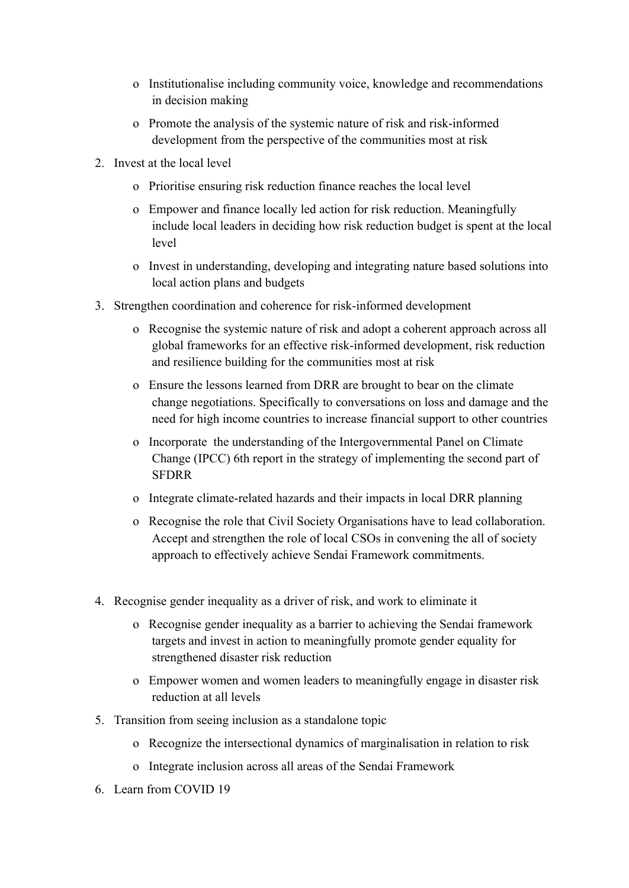- o Institutionalise including community voice, knowledge and recommendations in decision making
- o Promote the analysis of the systemic nature of risk and risk-informed development from the perspective of the communities most at risk
- 2. Invest at the local level
	- o Prioritise ensuring risk reduction finance reaches the local level
	- o Empower and finance locally led action for risk reduction. Meaningfully include local leaders in deciding how risk reduction budget is spent at the local level
	- o Invest in understanding, developing and integrating nature based solutions into local action plans and budgets
- 3. Strengthen coordination and coherence for risk-informed development
	- o Recognise the systemic nature of risk and adopt a coherent approach across all global frameworks for an effective risk-informed development, risk reduction and resilience building for the communities most at risk
	- o Ensure the lessons learned from DRR are brought to bear on the climate change negotiations. Specifically to conversations on loss and damage and the need for high income countries to increase financial support to other countries
	- o Incorporate the understanding of the Intergovernmental Panel on Climate Change (IPCC) 6th report in the strategy of implementing the second part of SFDRR
	- o Integrate climate-related hazards and their impacts in local DRR planning
	- o Recognise the role that Civil Society Organisations have to lead collaboration. Accept and strengthen the role of local CSOs in convening the all of society approach to effectively achieve Sendai Framework commitments.
- 4. Recognise gender inequality as a driver of risk, and work to eliminate it
	- o Recognise gender inequality as a barrier to achieving the Sendai framework targets and invest in action to meaningfully promote gender equality for strengthened disaster risk reduction
	- o Empower women and women leaders to meaningfully engage in disaster risk reduction at all levels
- 5. Transition from seeing inclusion as a standalone topic
	- o Recognize the intersectional dynamics of marginalisation in relation to risk
	- o Integrate inclusion across all areas of the Sendai Framework
- 6. Learn from COVID 19